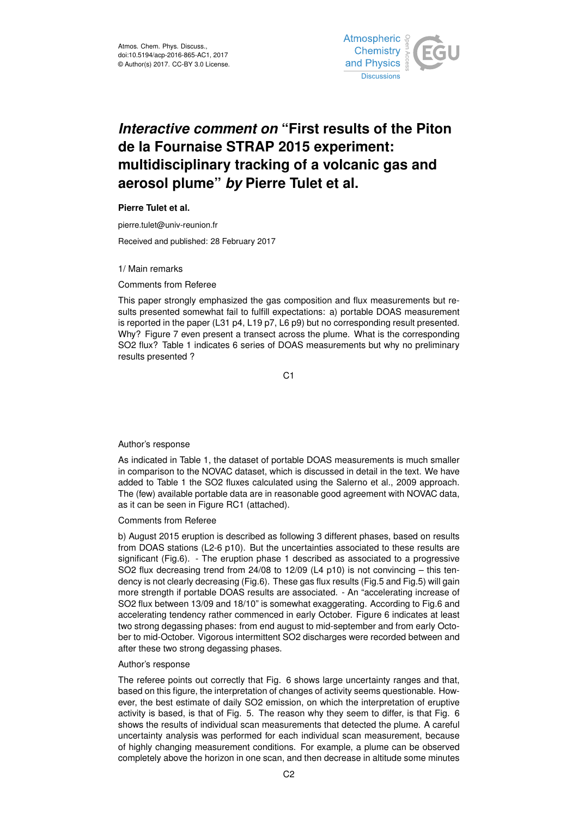

# *Interactive comment on* **"First results of the Piton de la Fournaise STRAP 2015 experiment: multidisciplinary tracking of a volcanic gas and aerosol plume"** *by* **Pierre Tulet et al.**

**Pierre Tulet et al.**

pierre.tulet@univ-reunion.fr

Received and published: 28 February 2017

1/ Main remarks

Comments from Referee

This paper strongly emphasized the gas composition and flux measurements but results presented somewhat fail to fulfill expectations: a) portable DOAS measurement is reported in the paper (L31 p4, L19 p7, L6 p9) but no corresponding result presented. Why? Figure 7 even present a transect across the plume. What is the corresponding SO2 flux? Table 1 indicates 6 series of DOAS measurements but why no preliminary results presented ?

C1

### Author's response

As indicated in Table 1, the dataset of portable DOAS measurements is much smaller in comparison to the NOVAC dataset, which is discussed in detail in the text. We have added to Table 1 the SO2 fluxes calculated using the Salerno et al., 2009 approach. The (few) available portable data are in reasonable good agreement with NOVAC data, as it can be seen in Figure RC1 (attached).

Comments from Referee

b) August 2015 eruption is described as following 3 different phases, based on results from DOAS stations (L2-6 p10). But the uncertainties associated to these results are significant (Fig.6). - The eruption phase 1 described as associated to a progressive SO2 flux decreasing trend from 24/08 to 12/09 (L4 p10) is not convincing – this tendency is not clearly decreasing (Fig.6). These gas flux results (Fig.5 and Fig.5) will gain more strength if portable DOAS results are associated. - An "accelerating increase of SO2 flux between 13/09 and 18/10" is somewhat exaggerating. According to Fig.6 and accelerating tendency rather commenced in early October. Figure 6 indicates at least two strong degassing phases: from end august to mid-september and from early October to mid-October. Vigorous intermittent SO2 discharges were recorded between and after these two strong degassing phases.

#### Author's response

The referee points out correctly that Fig. 6 shows large uncertainty ranges and that, based on this figure, the interpretation of changes of activity seems questionable. However, the best estimate of daily SO2 emission, on which the interpretation of eruptive activity is based, is that of Fig. 5. The reason why they seem to differ, is that Fig. 6 shows the results of individual scan measurements that detected the plume. A careful uncertainty analysis was performed for each individual scan measurement, because of highly changing measurement conditions. For example, a plume can be observed completely above the horizon in one scan, and then decrease in altitude some minutes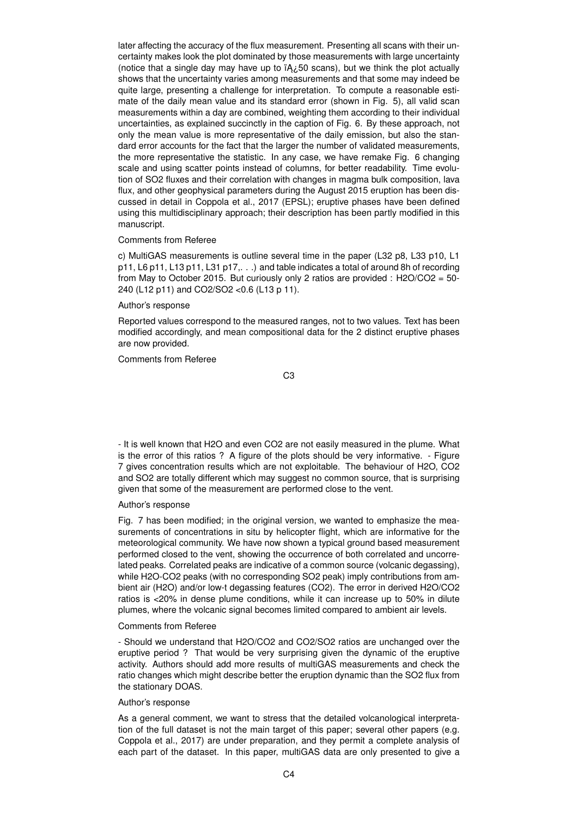later affecting the accuracy of the flux measurement. Presenting all scans with their uncertainty makes look the plot dominated by those measurements with large uncertainty (notice that a single day may have up to  $iA<sub>i</sub>50$  scans), but we think the plot actually shows that the uncertainty varies among measurements and that some may indeed be quite large, presenting a challenge for interpretation. To compute a reasonable estimate of the daily mean value and its standard error (shown in Fig. 5), all valid scan measurements within a day are combined, weighting them according to their individual uncertainties, as explained succinctly in the caption of Fig. 6. By these approach, not only the mean value is more representative of the daily emission, but also the standard error accounts for the fact that the larger the number of validated measurements, the more representative the statistic. In any case, we have remake Fig. 6 changing scale and using scatter points instead of columns, for better readability. Time evolution of SO2 fluxes and their correlation with changes in magma bulk composition, lava flux, and other geophysical parameters during the August 2015 eruption has been discussed in detail in Coppola et al., 2017 (EPSL); eruptive phases have been defined using this multidisciplinary approach; their description has been partly modified in this manuscript.

#### Comments from Referee

c) MultiGAS measurements is outline several time in the paper (L32 p8, L33 p10, L1 p11, L6 p11, L13 p11, L31 p17,. . .) and table indicates a total of around 8h of recording from May to October 2015. But curiously only 2 ratios are provided : H2O/CO2 = 50- 240 (L12 p11) and CO2/SO2 <0.6 (L13 p 11).

## Author's response

Reported values correspond to the measured ranges, not to two values. Text has been modified accordingly, and mean compositional data for the 2 distinct eruptive phases are now provided.

Comments from Referee

C3

- It is well known that H2O and even CO2 are not easily measured in the plume. What is the error of this ratios ? A figure of the plots should be very informative. - Figure 7 gives concentration results which are not exploitable. The behaviour of H2O, CO2 and SO2 are totally different which may suggest no common source, that is surprising given that some of the measurement are performed close to the vent.

# Author's response

Fig. 7 has been modified; in the original version, we wanted to emphasize the measurements of concentrations in situ by helicopter flight, which are informative for the meteorological community. We have now shown a typical ground based measurement performed closed to the vent, showing the occurrence of both correlated and uncorrelated peaks. Correlated peaks are indicative of a common source (volcanic degassing), while H2O-CO2 peaks (with no corresponding SO2 peak) imply contributions from ambient air (H2O) and/or low-t degassing features (CO2). The error in derived H2O/CO2 ratios is <20% in dense plume conditions, while it can increase up to 50% in dilute plumes, where the volcanic signal becomes limited compared to ambient air levels.

### Comments from Referee

- Should we understand that H2O/CO2 and CO2/SO2 ratios are unchanged over the eruptive period ? That would be very surprising given the dynamic of the eruptive activity. Authors should add more results of multiGAS measurements and check the ratio changes which might describe better the eruption dynamic than the SO2 flux from the stationary DOAS.

### Author's response

As a general comment, we want to stress that the detailed volcanological interpretation of the full dataset is not the main target of this paper; several other papers (e.g. Coppola et al., 2017) are under preparation, and they permit a complete analysis of each part of the dataset. In this paper, multiGAS data are only presented to give a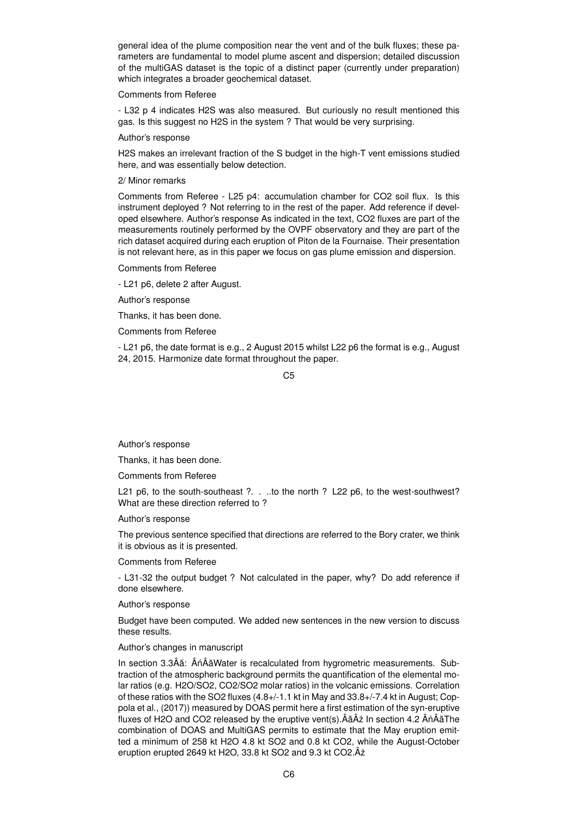general idea of the plume composition near the vent and of the bulk fluxes; these parameters are fundamental to model plume ascent and dispersion; detailed discussion of the multiGAS dataset is the topic of a distinct paper (currently under preparation) which integrates a broader geochemical dataset.

#### Comments from Referee

- L32 p 4 indicates H2S was also measured. But curiously no result mentioned this gas. Is this suggest no H2S in the system ? That would be very surprising.

#### Author's response

H2S makes an irrelevant fraction of the S budget in the high-T vent emissions studied here, and was essentially below detection.

# 2/ Minor remarks

Comments from Referee - L25 p4: accumulation chamber for CO2 soil flux. Is this instrument deployed ? Not referring to in the rest of the paper. Add reference if developed elsewhere. Author's response As indicated in the text, CO2 fluxes are part of the measurements routinely performed by the OVPF observatory and they are part of the rich dataset acquired during each eruption of Piton de la Fournaise. Their presentation is not relevant here, as in this paper we focus on gas plume emission and dispersion.

Comments from Referee

- L21 p6, delete 2 after August.

Author's response

Thanks, it has been done.

Comments from Referee

- L21 p6, the date format is e.g., 2 August 2015 whilst L22 p6 the format is e.g., August 24, 2015. Harmonize date format throughout the paper.

C5

Author's response

Thanks, it has been done.

Comments from Referee

L21 p6, to the south-southeast ?. . ..to the north ? L22 p6, to the west-southwest? What are these direction referred to ?

Author's response

The previous sentence specified that directions are referred to the Bory crater, we think it is obvious as it is presented.

Comments from Referee

- L31-32 the output budget ? Not calculated in the paper, why? Do add reference if done elsewhere.

Author's response

Budget have been computed. We added new sentences in the new version to discuss these results.

#### Author's changes in manuscript

In section 3.3Âă: ÂńÂăWater is recalculated from hygrometric measurements. Subtraction of the atmospheric background permits the quantification of the elemental molar ratios (e.g. H2O/SO2, CO2/SO2 molar ratios) in the volcanic emissions. Correlation of these ratios with the SO2 fluxes (4.8+/-1.1 kt in May and 33.8+/-7.4 kt in August; Coppola et al., (2017)) measured by DOAS permit here a first estimation of the syn-eruptive fluxes of H2O and CO2 released by the eruptive vent(s). $\hat{A}\hat{a}\hat{A}\hat{z}$  In section 4.2  $\hat{A}\hat{n}\hat{A}\hat{a}$ The combination of DOAS and MultiGAS permits to estimate that the May eruption emitted a minimum of 258 kt H2O 4.8 kt SO2 and 0.8 kt CO2, while the August-October eruption erupted 2649 kt H2O, 33.8 kt SO2 and 9.3 kt CO2. Âz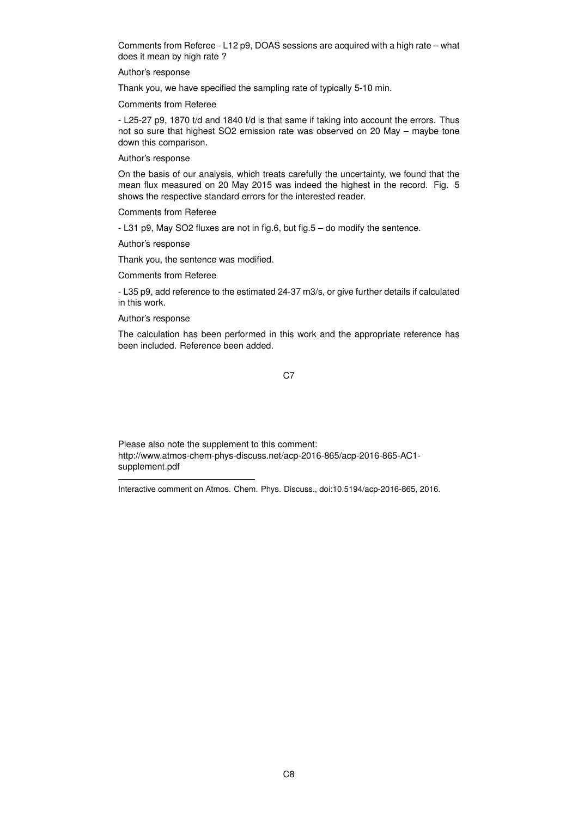Comments from Referee - L12 p9, DOAS sessions are acquired with a high rate – what does it mean by high rate ?

Author's response

Thank you, we have specified the sampling rate of typically 5-10 min.

Comments from Referee

- L25-27 p9, 1870 t/d and 1840 t/d is that same if taking into account the errors. Thus not so sure that highest SO2 emission rate was observed on 20 May – maybe tone down this comparison.

Author's response

On the basis of our analysis, which treats carefully the uncertainty, we found that the mean flux measured on 20 May 2015 was indeed the highest in the record. Fig. 5 shows the respective standard errors for the interested reader.

Comments from Referee

- L31 p9, May SO2 fluxes are not in fig.6, but fig.5 – do modify the sentence.

Author's response

Thank you, the sentence was modified.

Comments from Referee

- L35 p9, add reference to the estimated 24-37 m3/s, or give further details if calculated in this work.

Author's response

The calculation has been performed in this work and the appropriate reference has been included. Reference been added.

C<sub>7</sub>

Please also note the supplement to this comment: http://www.atmos-chem-phys-discuss.net/acp-2016-865/acp-2016-865-AC1 supplement.pdf

Interactive comment on Atmos. Chem. Phys. Discuss., doi:10.5194/acp-2016-865, 2016.